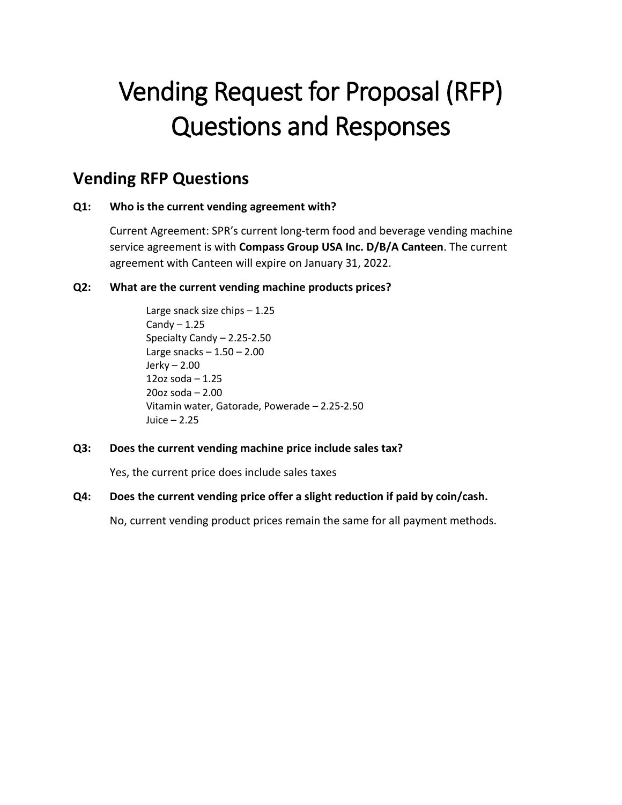# Vending Request for Proposal (RFP) Questions and Responses

# **Vending RFP Questions**

# **Q1: Who is the current vending agreement with?**

Current Agreement: SPR's current long-term food and beverage vending machine service agreement is with **Compass Group USA Inc. D/B/A Canteen**. The current agreement with Canteen will expire on January 31, 2022.

# **Q2: What are the current vending machine products prices?**

Large snack size chips – 1.25 Candy  $-1.25$ Specialty Candy – 2.25-2.50 Large snacks  $-1.50 - 2.00$ Jerky – 2.00 12oz soda – 1.25 20oz soda – 2.00 Vitamin water, Gatorade, Powerade – 2.25-2.50 Juice – 2.25

# **Q3: Does the current vending machine price include sales tax?**

Yes, the current price does include sales taxes

# **Q4: Does the current vending price offer a slight reduction if paid by coin/cash.**

No, current vending product prices remain the same for all payment methods.